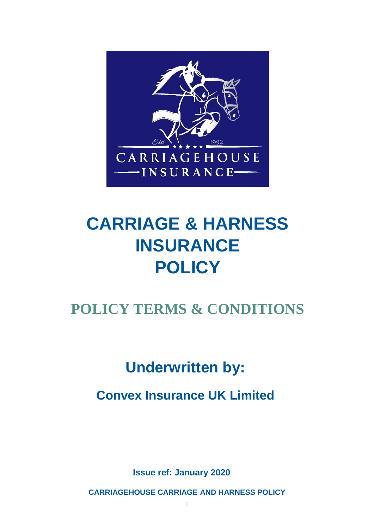

# **CARRIAGE & HARNESS INSURANCE POLICY**

# **POLICY TERMS & CONDITIONS**

# **Underwritten by:**

**Convex Insurance UK Limited**

**Issue ref: January 2020** 

**CARRIAGEHOUSE CARRIAGE AND HARNESS POLICY**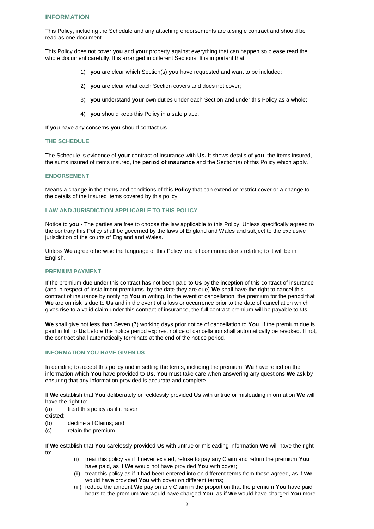# **INFORMATION**

This Policy, including the Schedule and any attaching endorsements are a single contract and should be read as one document.

This Policy does not cover **you** and **your** property against everything that can happen so please read the whole document carefully. It is arranged in different Sections. It is important that:

- 1) **you** are clear which Section(s) **you** have requested and want to be included;
- 2) **you** are clear what each Section covers and does not cover;
- 3) **you** understand **your** own duties under each Section and under this Policy as a whole;
- 4) **you** should keep this Policy in a safe place.

If **you** have any concerns **you** should contact **us**.

#### **THE SCHEDULE**

The Schedule is evidence of **your** contract of insurance with **Us.** It shows details of **you**, the items insured, the sums insured of items insured, the **period of insurance** and the Section(s) of this Policy which apply.

#### **ENDORSEMENT**

Means a change in the terms and conditions of this **Policy** that can extend or restrict cover or a change to the details of the insured items covered by this policy.

# **LAW AND JURISDICTION APPLICABLE TO THIS POLICY**

Notice to **you -** The parties are free to choose the law applicable to this Policy. Unless specifically agreed to the contrary this Policy shall be governed by the laws of England and Wales and subject to the exclusive jurisdiction of the courts of England and Wales.

Unless **We** agree otherwise the language of this Policy and all communications relating to it will be in English.

#### **PREMIUM PAYMENT**

If the premium due under this contract has not been paid to **Us** by the inception of this contract of insurance (and in respect of installment premiums, by the date they are due) **We** shall have the right to cancel this contract of insurance by notifying **You** in writing. In the event of cancellation, the premium for the period that **We** are on risk is due to **Us** and in the event of a loss or occurrence prior to the date of cancellation which gives rise to a valid claim under this contract of insurance, the full contract premium will be payable to **Us**.

**We** shall give not less than Seven (7) working days prior notice of cancellation to **You**. If the premium due is paid in full to **Us** before the notice period expires, notice of cancellation shall automatically be revoked. If not, the contract shall automatically terminate at the end of the notice period.

#### **INFORMATION YOU HAVE GIVEN US**

In deciding to accept this policy and in setting the terms, including the premium, **We** have relied on the information which **You** have provided to **Us**. **You** must take care when answering any questions **We** ask by ensuring that any information provided is accurate and complete.

If **We** establish that **You** deliberately or recklessly provided **Us** with untrue or misleading information **We** will have the right to:

(a) treat this policy as if it never

existed;

- (b) decline all Claims; and
- (c) retain the premium.

If **We** establish that **You** carelessly provided **Us** with untrue or misleading information **We** will have the right to:

- (i) treat this policy as if it never existed, refuse to pay any Claim and return the premium **You** have paid, as if **We** would not have provided **You** with cover;
- (ii) treat this policy as if it had been entered into on different terms from those agreed, as if **We** would have provided **You** with cover on different terms;
- (iii) reduce the amount **We** pay on any Claim in the proportion that the premium **You** have paid bears to the premium **We** would have charged **You**, as if **We** would have charged **You** more.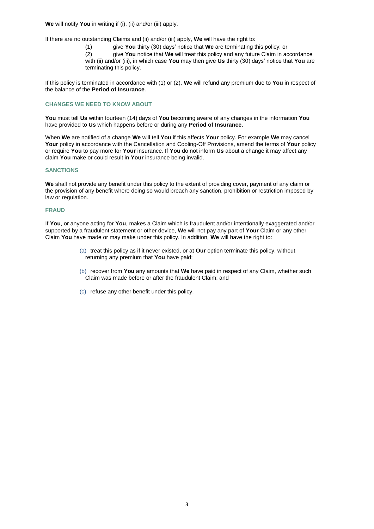**We** will notify **You** in writing if (i), (ii) and/or (iii) apply.

If there are no outstanding Claims and (ii) and/or (iii) apply, **We** will have the right to:

(1) give **You** thirty (30) days' notice that **We** are terminating this policy; or

(2) give **You** notice that **We** will treat this policy and any future Claim in accordance with (ii) and/or (iii), in which case **You** may then give **Us** thirty (30) days' notice that **You** are terminating this policy.

If this policy is terminated in accordance with (1) or (2), **We** will refund any premium due to **You** in respect of the balance of the **Period of Insurance**.

# **CHANGES WE NEED TO KNOW ABOUT**

**You** must tell **Us** within fourteen (14) days of **You** becoming aware of any changes in the information **You** have provided to **Us** which happens before or during any **Period of Insurance**.

When **We** are notified of a change **We** will tell **You** if this affects **Your** policy. For example **We** may cancel **Your** policy in accordance with the Cancellation and Cooling-Off Provisions, amend the terms of **Your** policy or require **You** to pay more for **Your** insurance. If **You** do not inform **Us** about a change it may affect any claim **You** make or could result in **Your** insurance being invalid.

# **SANCTIONS**

**We** shall not provide any benefit under this policy to the extent of providing cover, payment of any claim or the provision of any benefit where doing so would breach any sanction, prohibition or restriction imposed by law or regulation.

# **FRAUD**

If **You**, or anyone acting for **You**, makes a Claim which is fraudulent and/or intentionally exaggerated and/or supported by a fraudulent statement or other device, **We** will not pay any part of **Your** Claim or any other Claim **You** have made or may make under this policy. In addition, **We** will have the right to:

- (a) treat this policy as if it never existed, or at **Our** option terminate this policy, without returning any premium that **You** have paid;
- (b) recover from **You** any amounts that **We** have paid in respect of any Claim, whether such Claim was made before or after the fraudulent Claim; and
- (c) refuse any other benefit under this policy.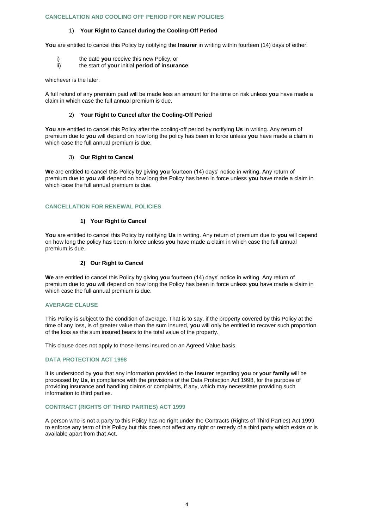### **CANCELLATION AND COOLING OFF PERIOD FOR NEW POLICIES**

# 1) **Your Right to Cancel during the Cooling-Off Period**

**You** are entitled to cancel this Policy by notifying the **Insurer** in writing within fourteen (14) days of either:

- i) the date **you** receive this new Policy, or<br>ii) the start of **your** initial **period of insural**
- the start of your initial period of insurance

whichever is the later.

A full refund of any premium paid will be made less an amount for the time on risk unless **you** have made a claim in which case the full annual premium is due.

# 2) **Your Right to Cancel after the Cooling-Off Period**

**You** are entitled to cancel this Policy after the cooling-off period by notifying **Us** in writing. Any return of premium due to **you** will depend on how long the policy has been in force unless **you** have made a claim in which case the full annual premium is due.

### 3) **Our Right to Cancel**

**We** are entitled to cancel this Policy by giving **you** fourteen (14) days' notice in writing. Any return of premium due to **you** will depend on how long the Policy has been in force unless **you** have made a claim in which case the full annual premium is due.

# **CANCELLATION FOR RENEWAL POLICIES**

# **1) Your Right to Cancel**

**You** are entitled to cancel this Policy by notifying **Us** in writing. Any return of premium due to **you** will depend on how long the policy has been in force unless **you** have made a claim in which case the full annual premium is due.

# **2) Our Right to Cancel**

**We** are entitled to cancel this Policy by giving **you** fourteen (14) days' notice in writing. Any return of premium due to **you** will depend on how long the Policy has been in force unless **you** have made a claim in which case the full annual premium is due.

# **AVERAGE CLAUSE**

This Policy is subject to the condition of average. That is to say, if the property covered by this Policy at the time of any loss, is of greater value than the sum insured, **you** will only be entitled to recover such proportion of the loss as the sum insured bears to the total value of the property.

This clause does not apply to those items insured on an Agreed Value basis.

# **DATA PROTECTION ACT 1998**

It is understood by **you** that any information provided to the **Insurer** regarding **you** or **your family** will be processed by **Us**, in compliance with the provisions of the Data Protection Act 1998, for the purpose of providing insurance and handling claims or complaints, if any, which may necessitate providing such information to third parties.

#### **CONTRACT (RIGHTS OF THIRD PARTIES) ACT 1999**

A person who is not a party to this Policy has no right under the Contracts (Rights of Third Parties) Act 1999 to enforce any term of this Policy but this does not affect any right or remedy of a third party which exists or is available apart from that Act.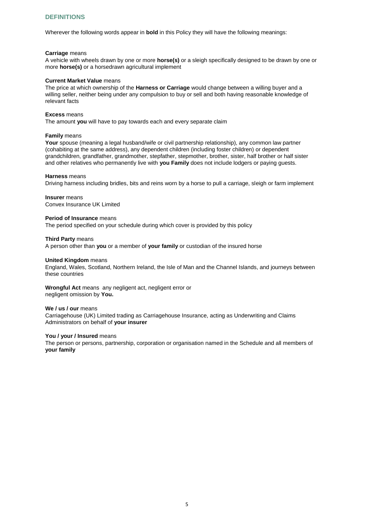# **DEFINITIONS**

Wherever the following words appear in **bold** in this Policy they will have the following meanings:

#### **Carriage** means

A vehicle with wheels drawn by one or more **horse(s)** or a sleigh specifically designed to be drawn by one or more **horse(s)** or a horsedrawn agricultural implement

#### **Current Market Value** means

The price at which ownership of the **Harness or Carriage** would change between a willing buyer and a willing seller, neither being under any compulsion to buy or sell and both having reasonable knowledge of relevant facts

#### **Excess** means

The amount **you** will have to pay towards each and every separate claim

#### **Family** means

Your spouse (meaning a legal husband/wife or civil partnership relationship), any common law partner (cohabiting at the same address), any dependent children (including foster children) or dependent grandchildren, grandfather, grandmother, stepfather, stepmother, brother, sister, half brother or half sister and other relatives who permanently live with **you Family** does not include lodgers or paying guests.

#### **Harness** means

Driving harness including bridles, bits and reins worn by a horse to pull a carriage, sleigh or farm implement

#### **Insurer** means Convex Insurance UK Limited

# **Period of Insurance** means

The period specified on your schedule during which cover is provided by this policy

#### **Third Party** means

A person other than **you** or a member of **your family** or custodian of the insured horse

#### **United Kingdom** means

England, Wales, Scotland, Northern Ireland, the Isle of Man and the Channel Islands, and journeys between these countries

#### **Wrongful Act** means any negligent act, negligent error or negligent omission by **You.**

#### **We / us / our** means

Carriagehouse (UK) Limited trading as Carriagehouse Insurance, acting as Underwriting and Claims Administrators on behalf of **your insurer**

#### You / your / Insured means

The person or persons, partnership, corporation or organisation named in the Schedule and all members of **your family**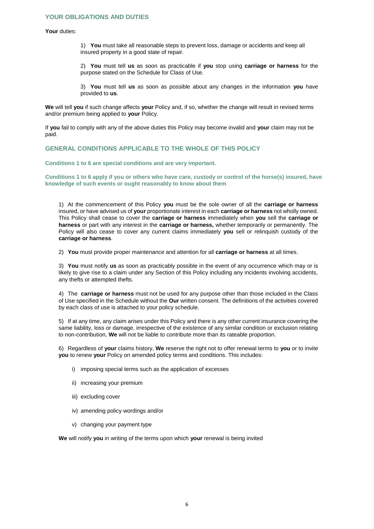# **YOUR OBLIGATIONS AND DUTIES**

#### **Your** duties:

1) **You** must take all reasonable steps to prevent loss, damage or accidents and keep all insured property in a good state of repair.

2) **You** must tell **us** as soon as practicable if **you** stop using **carriage or harness** for the purpose stated on the Schedule for Class of Use.

3) **You** must tell **us** as soon as possible about any changes in the information **you** have provided to **us**.

**We** will tell **you** if such change affects **your** Policy and, if so, whether the change will result in revised terms and/or premium being applied to **your** Policy.

If **you** fail to comply with any of the above duties this Policy may become invalid and **your** claim may not be paid.

# **GENERAL CONDITIONS APPLICABLE TO THE WHOLE OF THIS POLICY**

**Conditions 1 to 6 are special conditions and are very important.** 

**Conditions 1 to 6 apply if you or others who have care, custody or control of the horse(s) insured, have knowledge of such events or ought reasonably to know about them** 

1) At the commencement of this Policy **you** must be the sole owner of all the **carriage or harness** insured, or have advised us of **your** proportionate interest in each **carriage or harness** not wholly owned. This Policy shall cease to cover the **carriage or harness** immediately when **you** sell the **carriage or harness** or part with any interest in the **carriage or harness,** whether temporarily or permanently. The Policy will also cease to cover any current claims immediately **you** sell or relinquish custody of the **carriage or harness**.

2) **You** must provide proper maintenance and attention for all **carriage or harness** at all times.

3) **You** must notify **us** as soon as practicably possible in the event of any occurrence which may or is likely to give rise to a claim under any Section of this Policy including any incidents involving accidents, any thefts or attempted thefts.

4) The **carriage or harness** must not be used for any purpose other than those included in the Class of Use specified in the Schedule without the **Our** written consent. The definitions of the activities covered by each class of use is attached to your policy schedule.

5) If at any time, any claim arises under this Policy and there is any other current insurance covering the same liability, loss or damage, irrespective of the existence of any similar condition or exclusion relating to non-contribution, **We** will not be liable to contribute more than its rateable proportion.

6) Regardless of **your** claims history, **We** reserve the right not to offer renewal terms to **you** or to invite **you** to renew **your** Policy on amended policy terms and conditions. This includes:

- i) imposing special terms such as the application of excesses
- ii) increasing your premium
- iii) excluding cover
- iv) amending policy wordings and/or
- v) changing your payment type

**We** will notify **you** in writing of the terms upon which **your** renewal is being invited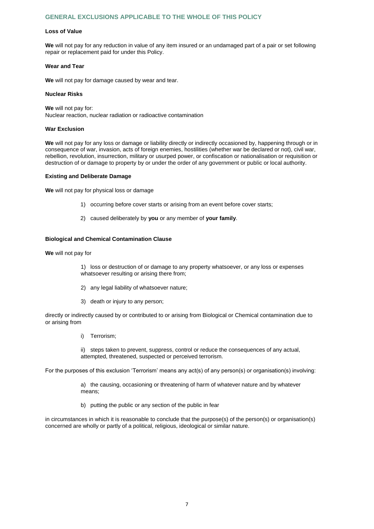# **GENERAL EXCLUSIONS APPLICABLE TO THE WHOLE OF THIS POLICY**

#### **Loss of Value**

**We** will not pay for any reduction in value of any item insured or an undamaged part of a pair or set following repair or replacement paid for under this Policy.

#### **Wear and Tear**

**We** will not pay for damage caused by wear and tear.

#### **Nuclear Risks**

**We** will not pay for: Nuclear reaction, nuclear radiation or radioactive contamination

#### **War Exclusion**

**We** will not pay for any loss or damage or liability directly or indirectly occasioned by, happening through or in consequence of war, invasion, acts of foreign enemies, hostilities (whether war be declared or not), civil war, rebellion, revolution, insurrection, military or usurped power, or confiscation or nationalisation or requisition or destruction of or damage to property by or under the order of any government or public or local authority.

# **Existing and Deliberate Damage**

**We** will not pay for physical loss or damage

- 1) occurring before cover starts or arising from an event before cover starts;
- 2) caused deliberately by **you** or any member of **your family**.

#### **Biological and Chemical Contamination Clause**

**We** will not pay for

1) loss or destruction of or damage to any property whatsoever, or any loss or expenses whatsoever resulting or arising there from:

- 2) any legal liability of whatsoever nature;
- 3) death or injury to any person;

directly or indirectly caused by or contributed to or arising from Biological or Chemical contamination due to or arising from

i) Terrorism;

ii) steps taken to prevent, suppress, control or reduce the consequences of any actual, attempted, threatened, suspected or perceived terrorism.

For the purposes of this exclusion 'Terrorism' means any act(s) of any person(s) or organisation(s) involving:

a) the causing, occasioning or threatening of harm of whatever nature and by whatever means;

b) putting the public or any section of the public in fear

in circumstances in which it is reasonable to conclude that the purpose(s) of the person(s) or organisation(s) concerned are wholly or partly of a political, religious, ideological or similar nature.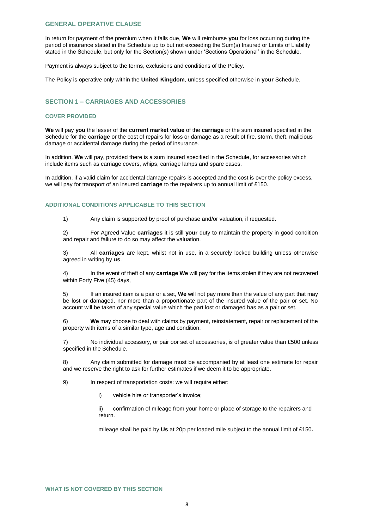# **GENERAL OPERATIVE CLAUSE**

In return for payment of the premium when it falls due, **We** will reimburse **you** for loss occurring during the period of insurance stated in the Schedule up to but not exceeding the Sum(s) Insured or Limits of Liability stated in the Schedule, but only for the Section(s) shown under 'Sections Operational' in the Schedule.

Payment is always subject to the terms, exclusions and conditions of the Policy.

The Policy is operative only within the **United Kingdom**, unless specified otherwise in **your** Schedule.

# **SECTION 1 – CARRIAGES AND ACCESSORIES**

#### **COVER PROVIDED**

**We** will pay **you** the lesser of the **current market value** of the **carriage** or the sum insured specified in the Schedule for the **carriage** or the cost of repairs for loss or damage as a result of fire, storm, theft, malicious damage or accidental damage during the period of insurance.

In addition, **We** will pay, provided there is a sum insured specified in the Schedule, for accessories which include items such as carriage covers, whips, carriage lamps and spare cases.

In addition, if a valid claim for accidental damage repairs is accepted and the cost is over the policy excess, we will pay for transport of an insured **carriage** to the repairers up to annual limit of £150.

# **ADDITIONAL CONDITIONS APPLICABLE TO THIS SECTION**

1) Any claim is supported by proof of purchase and/or valuation, if requested.

2) For Agreed Value **carriages** it is still **your** duty to maintain the property in good condition and repair and failure to do so may affect the valuation.

3) All **carriages** are kept, whilst not in use, in a securely locked building unless otherwise agreed in writing by **us**.

4) In the event of theft of any **carriage We** will pay for the items stolen if they are not recovered within Forty Five (45) days,

5) If an insured item is a pair or a set, **We** will not pay more than the value of any part that may be lost or damaged, nor more than a proportionate part of the insured value of the pair or set. No account will be taken of any special value which the part lost or damaged has as a pair or set.

6) **We** may choose to deal with claims by payment, reinstatement, repair or replacement of the property with items of a similar type, age and condition.

7) No individual accessory, or pair oor set of accessories, is of greater value than £500 unless specified in the Schedule.

8) Any claim submitted for damage must be accompanied by at least one estimate for repair and we reserve the right to ask for further estimates if we deem it to be appropriate.

9) In respect of transportation costs: we will require either:

i) vehicle hire or transporter's invoice;

ii) confirmation of mileage from your home or place of storage to the repairers and return.

mileage shall be paid by **Us** at 20p per loaded mile subject to the annual limit of £150**.**

#### **WHAT IS NOT COVERED BY THIS SECTION**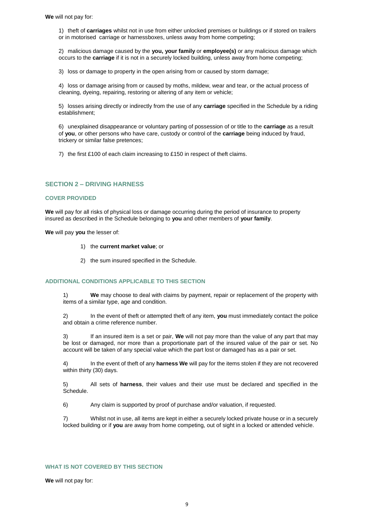1) theft of **carriages** whilst not in use from either unlocked premises or buildings or if stored on trailers or in motorised carriage or harnessboxes, unless away from home competing;

2) malicious damage caused by the **you, your family** or **employee(s)** or any malicious damage which occurs to the **carriage** if it is not in a securely locked building, unless away from home competing;

3) loss or damage to property in the open arising from or caused by storm damage;

4) loss or damage arising from or caused by moths, mildew, wear and tear, or the actual process of cleaning, dyeing, repairing, restoring or altering of any item or vehicle;

5) losses arising directly or indirectly from the use of any **carriage** specified in the Schedule by a riding establishment;

6) unexplained disappearance or voluntary parting of possession of or title to the **carriage** as a result of **you**, or other persons who have care, custody or control of the **carriage** being induced by fraud, trickery or similar false pretences;

7) the first £100 of each claim increasing to £150 in respect of theft claims.

# **SECTION 2 – DRIVING HARNESS**

#### **COVER PROVIDED**

We will pay for all risks of physical loss or damage occurring during the period of insurance to property insured as described in the Schedule belonging to **you** and other members of **your family**.

**We** will pay **you** the lesser of:

- 1) the **current market value**; or
- 2) the sum insured specified in the Schedule.

# **ADDITIONAL CONDITIONS APPLICABLE TO THIS SECTION**

1) **We** may choose to deal with claims by payment, repair or replacement of the property with items of a similar type, age and condition.

2) In the event of theft or attempted theft of any item, **you** must immediately contact the police and obtain a crime reference number.

3) If an insured item is a set or pair, **We** will not pay more than the value of any part that may be lost or damaged, nor more than a proportionate part of the insured value of the pair or set. No account will be taken of any special value which the part lost or damaged has as a pair or set.

4) In the event of theft of any **harness We** will pay for the items stolen if they are not recovered within thirty (30) days.

5) All sets of **harness**, their values and their use must be declared and specified in the Schedule.

6) Any claim is supported by proof of purchase and/or valuation, if requested.

7) Whilst not in use, all items are kept in either a securely locked private house or in a securely locked building or if **you** are away from home competing, out of sight in a locked or attended vehicle.

#### **WHAT IS NOT COVERED BY THIS SECTION**

**We** will not pay for: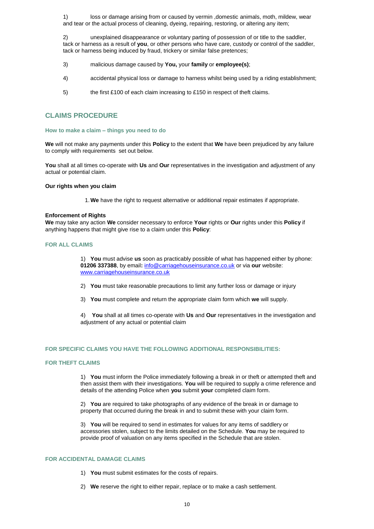1) loss or damage arising from or caused by vermin ,domestic animals, moth, mildew, wear and tear or the actual process of cleaning, dyeing, repairing, restoring, or altering any item;

2) unexplained disappearance or voluntary parting of possession of or title to the saddler, tack or harness as a result of **you**, or other persons who have care, custody or control of the saddler, tack or harness being induced by fraud, trickery or similar false pretences;

- 3) malicious damage caused by **You,** your **family** or **employee(s)**;
- 4) accidental physical loss or damage to harness whilst being used by a riding establishment;
- 5) the first £100 of each claim increasing to £150 in respect of theft claims.

# **CLAIMS PROCEDURE**

#### **How to make a claim – things you need to do**

**We** will not make any payments under this **Policy** to the extent that **We** have been prejudiced by any failure to comply with requirements set out below.

**You** shall at all times co-operate with **Us** and **Our** representatives in the investigation and adjustment of any actual or potential claim.

#### **Our rights when you claim**

1.**We** have the right to request alternative or additional repair estimates if appropriate.

#### **Enforcement of Rights**

**We** may take any action **We** consider necessary to enforce **Your** rights or **Our** rights under this **Policy** if anything happens that might give rise to a claim under this **Policy**:

#### **FOR ALL CLAIMS**

1) **You** must advise **us** soon as practicably possible of what has happened either by phone: **01206 337388**, by email**:** info@carriagehouseinsurance.co.uk or via **our** website: www.carriagehouseinsurance.co.uk

- 2) **You** must take reasonable precautions to limit any further loss or damage or injury
- 3) **You** must complete and return the appropriate claim form which **we** will supply.

4) **You** shall at all times co-operate with **Us** and **Our** representatives in the investigation and adjustment of any actual or potential claim

#### **FOR SPECIFIC CLAIMS YOU HAVE THE FOLLOWING ADDITIONAL RESPONSIBILITIES:**

#### **FOR THEFT CLAIMS**

1) **You** must inform the Police immediately following a break in or theft or attempted theft and then assist them with their investigations. **You** will be required to supply a crime reference and details of the attending Police when **you** submit **your** completed claim form.

2) **You** are required to take photographs of any evidence of the break in or damage to property that occurred during the break in and to submit these with your claim form.

3) **You** will be required to send in estimates for values for any items of saddlery or accessories stolen, subject to the limits detailed on the Schedule. **You** may be required to provide proof of valuation on any items specified in the Schedule that are stolen.

#### **FOR ACCIDENTAL DAMAGE CLAIMS**

- 1) **You** must submit estimates for the costs of repairs.
- 2) **We** reserve the right to either repair, replace or to make a cash settlement.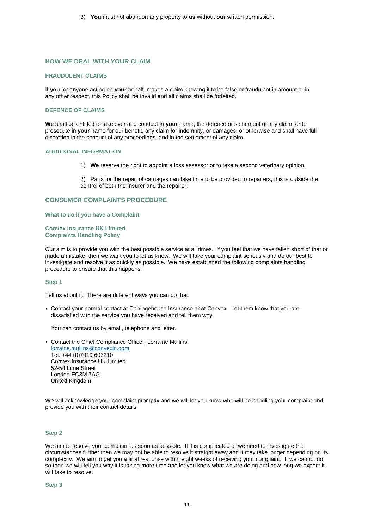3) **You** must not abandon any property to **us** without **our** written permission.

# **HOW WE DEAL WITH YOUR CLAIM**

#### **FRAUDULENT CLAIMS**

If **you**, or anyone acting on **your** behalf, makes a claim knowing it to be false or fraudulent in amount or in any other respect, this Policy shall be invalid and all claims shall be forfeited.

#### **DEFENCE OF CLAIMS**

**We** shall be entitled to take over and conduct in **your** name, the defence or settlement of any claim, or to prosecute in **your** name for our benefit, any claim for indemnity, or damages, or otherwise and shall have full discretion in the conduct of any proceedings, and in the settlement of any claim.

#### **ADDITIONAL INFORMATION**

1) **We** reserve the right to appoint a loss assessor or to take a second veterinary opinion.

2) Parts for the repair of carriages can take time to be provided to repairers, this is outside the control of both the Insurer and the repairer.

#### **CONSUMER COMPLAINTS PROCEDURE**

#### **What to do if you have a Complaint**

#### **Convex Insurance UK Limited Complaints Handling Policy**

Our aim is to provide you with the best possible service at all times. If you feel that we have fallen short of that or made a mistake, then we want you to let us know. We will take your complaint seriously and do our best to investigate and resolve it as quickly as possible. We have established the following complaints handling procedure to ensure that this happens.

#### **Step 1**

Tell us about it. There are different ways you can do that.

• Contact your normal contact at Carriagehouse Insurance or at Convex. Let them know that you are dissatisfied with the service you have received and tell them why.

You can contact us by email, telephone and letter.

• Contact the Chief Compliance Officer, Lorraine Mullins: [lorraine.mullins@convexin.com](mailto:lorraine.mullins@convexin.com) Tel: +44 (0)7919 603210 Convex Insurance UK Limited 52-54 Lime Street London EC3M 7AG United Kingdom

We will acknowledge your complaint promptly and we will let you know who will be handling your complaint and provide you with their contact details.

#### **Step 2**

We aim to resolve your complaint as soon as possible. If it is complicated or we need to investigate the circumstances further then we may not be able to resolve it straight away and it may take longer depending on its complexity. We aim to get you a final response within eight weeks of receiving your complaint. If we cannot do so then we will tell you why it is taking more time and let you know what we are doing and how long we expect it will take to resolve.

**Step 3**